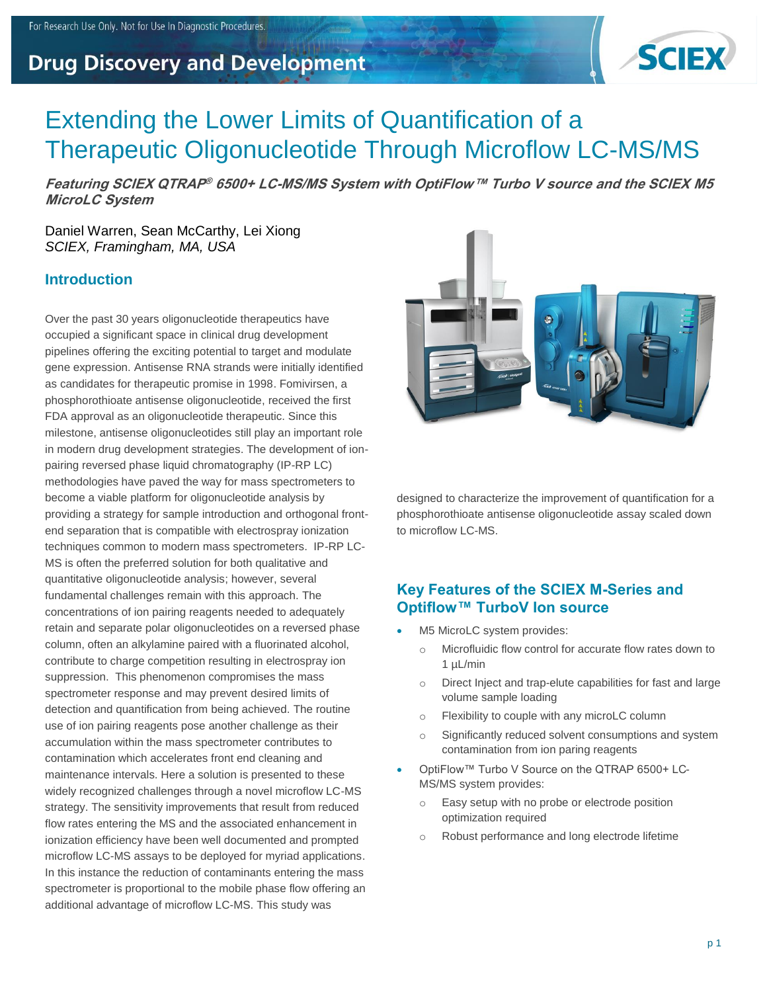# **Drug Discovery and Development**



# Extending the Lower Limits of Quantification of a Therapeutic Oligonucleotide Through Microflow LC-MS/MS

**Featuring SCIEX QTRAP ® 6500+ LC-MS/MS System with OptiFlow™ Turbo V source and the SCIEX M5 MicroLC System**

Daniel Warren, Sean McCarthy, Lei Xiong *SCIEX, Framingham, MA, USA*

#### **Introduction**

Over the past 30 years oligonucleotide therapeutics have occupied a significant space in clinical drug development pipelines offering the exciting potential to target and modulate gene expression. Antisense RNA strands were initially identified as candidates for therapeutic promise in 1998. Fomivirsen, a phosphorothioate antisense oligonucleotide, received the first FDA approval as an oligonucleotide therapeutic. Since this milestone, antisense oligonucleotides still play an important role in modern drug development strategies. The development of ionpairing reversed phase liquid chromatography (IP-RP LC) methodologies have paved the way for mass spectrometers to become a viable platform for oligonucleotide analysis by providing a strategy for sample introduction and orthogonal frontend separation that is compatible with electrospray ionization techniques common to modern mass spectrometers. IP-RP LC-MS is often the preferred solution for both qualitative and quantitative oligonucleotide analysis; however, several fundamental challenges remain with this approach. The concentrations of ion pairing reagents needed to adequately retain and separate polar oligonucleotides on a reversed phase column, often an alkylamine paired with a fluorinated alcohol, contribute to charge competition resulting in electrospray ion suppression. This phenomenon compromises the mass spectrometer response and may prevent desired limits of detection and quantification from being achieved. The routine use of ion pairing reagents pose another challenge as their accumulation within the mass spectrometer contributes to contamination which accelerates front end cleaning and maintenance intervals. Here a solution is presented to these widely recognized challenges through a novel microflow LC-MS strategy. The sensitivity improvements that result from reduced flow rates entering the MS and the associated enhancement in ionization efficiency have been well documented and prompted microflow LC-MS assays to be deployed for myriad applications. In this instance the reduction of contaminants entering the mass spectrometer is proportional to the mobile phase flow offering an additional advantage of microflow LC-MS. This study was



designed to characterize the improvement of quantification for a phosphorothioate antisense oligonucleotide assay scaled down to microflow LC-MS.

## **Key Features of the SCIEX M-Series and Optiflow™ TurboV Ion source**

- M5 MicroLC system provides:
	- o Microfluidic flow control for accurate flow rates down to 1 µL/min
	- o Direct Inject and trap-elute capabilities for fast and large volume sample loading
	- o Flexibility to couple with any microLC column
	- o Significantly reduced solvent consumptions and system contamination from ion paring reagents
- OptiFlow™ Turbo V Source on the QTRAP 6500+ LC-MS/MS system provides:
	- o Easy setup with no probe or electrode position optimization required
	- o Robust performance and long electrode lifetime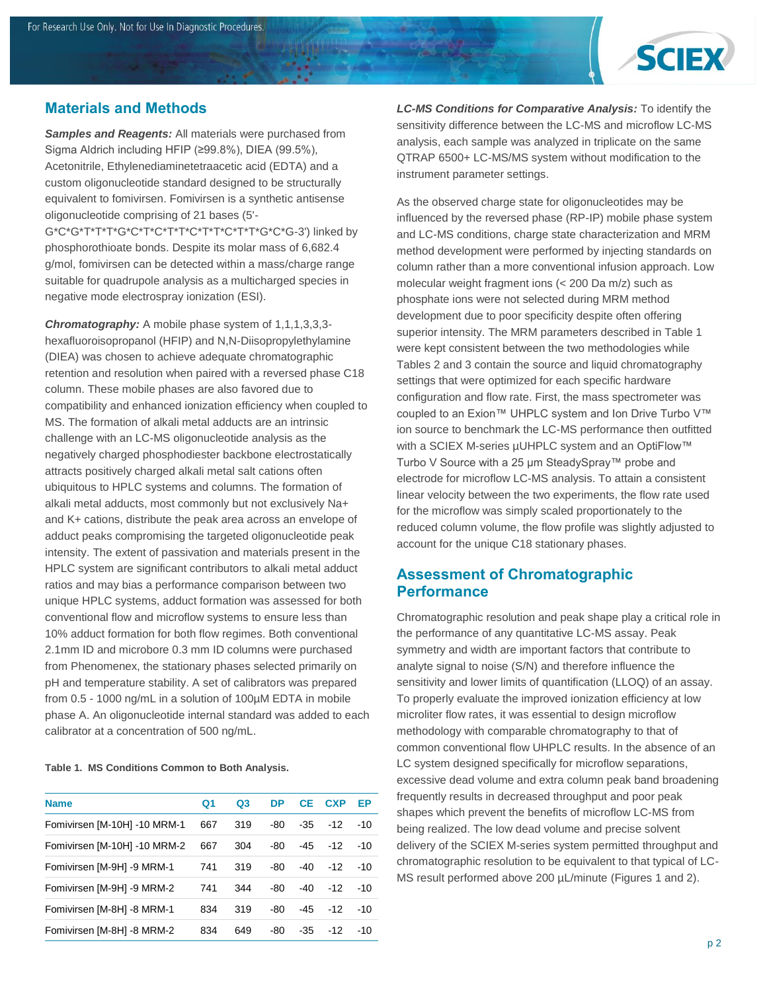

#### **Materials and Methods**

*Samples and Reagents:* All materials were purchased from Sigma Aldrich including HFIP (≥99.8%), DIEA (99.5%), Acetonitrile, Ethylenediaminetetraacetic acid (EDTA) and a custom oligonucleotide standard designed to be structurally equivalent to fomivirsen. Fomivirsen is a synthetic antisense oligonucleotide comprising of 21 bases (5'- G\*C\*G\*T\*T\*T\*G\*C\*T\*C\*T\*T\*C\*T\*T\*C\*T\*T\*G\*C\*G-3') linked by phosphorothioate bonds. Despite its molar mass of 6,682.4 g/mol, fomivirsen can be detected within a mass/charge range suitable for quadrupole analysis as a multicharged species in negative mode electrospray ionization (ESI).

*Chromatography:* A mobile phase system of 1,1,1,3,3,3 hexafluoroisopropanol (HFIP) and N,N-Diisopropylethylamine (DIEA) was chosen to achieve adequate chromatographic retention and resolution when paired with a reversed phase C18 column. These mobile phases are also favored due to compatibility and enhanced ionization efficiency when coupled to MS. The formation of alkali metal adducts are an intrinsic challenge with an LC-MS oligonucleotide analysis as the negatively charged phosphodiester backbone electrostatically attracts positively charged alkali metal salt cations often ubiquitous to HPLC systems and columns. The formation of alkali metal adducts, most commonly but not exclusively Na+ and K+ cations, distribute the peak area across an envelope of adduct peaks compromising the targeted oligonucleotide peak intensity. The extent of passivation and materials present in the HPLC system are significant contributors to alkali metal adduct ratios and may bias a performance comparison between two unique HPLC systems, adduct formation was assessed for both conventional flow and microflow systems to ensure less than 10% adduct formation for both flow regimes. Both conventional 2.1mm ID and microbore 0.3 mm ID columns were purchased from Phenomenex, the stationary phases selected primarily on pH and temperature stability. A set of calibrators was prepared from 0.5 - 1000 ng/mL in a solution of 100µM EDTA in mobile phase A. An oligonucleotide internal standard was added to each calibrator at a concentration of 500 ng/mL.

**Table 1. MS Conditions Common to Both Analysis.**

| <b>Name</b>                  | Q <sub>1</sub> | O <sub>3</sub> | <b>DP</b> | <b>CE</b> | <b>CXP</b> | ЕP    |
|------------------------------|----------------|----------------|-----------|-----------|------------|-------|
| Fomivirsen [M-10H] -10 MRM-1 | 667            | 319            | -80       | -35       | $-12$      | $-10$ |
| Fomivirsen [M-10H] -10 MRM-2 | 667            | 304            | -80       | -45       | $-12$      | $-10$ |
| Fomivirsen [M-9H] -9 MRM-1   | 741            | 319            | -80       | -40       | $-12$      | $-10$ |
| Fomivirsen [M-9H] -9 MRM-2   | 741            | 344            | -80       | $-40$     | $-12$      | $-10$ |
| Fomivirsen [M-8H] -8 MRM-1   | 834            | 319            | -80       | -45       | $-12$      | $-10$ |
| Fomivirsen [M-8H] -8 MRM-2   | 834            | 649            | -80       | -35       | $-12$      | -10   |

*LC-MS Conditions for Comparative Analysis:* To identify the sensitivity difference between the LC-MS and microflow LC-MS analysis, each sample was analyzed in triplicate on the same QTRAP 6500+ LC-MS/MS system without modification to the instrument parameter settings.

As the observed charge state for oligonucleotides may be influenced by the reversed phase (RP-IP) mobile phase system and LC-MS conditions, charge state characterization and MRM method development were performed by injecting standards on column rather than a more conventional infusion approach. Low molecular weight fragment ions (< 200 Da m/z) such as phosphate ions were not selected during MRM method development due to poor specificity despite often offering superior intensity. The MRM parameters described in Table 1 were kept consistent between the two methodologies while Tables 2 and 3 contain the source and liquid chromatography settings that were optimized for each specific hardware configuration and flow rate. First, the mass spectrometer was coupled to an Exion™ UHPLC system and Ion Drive Turbo V™ ion source to benchmark the LC-MS performance then outfitted with a SCIEX M-series µUHPLC system and an OptiFlow™ Turbo V Source with a 25 μm SteadySpray™ probe and electrode for microflow LC-MS analysis. To attain a consistent linear velocity between the two experiments, the flow rate used for the microflow was simply scaled proportionately to the reduced column volume, the flow profile was slightly adjusted to account for the unique C18 stationary phases.

## **Assessment of Chromatographic Performance**

Chromatographic resolution and peak shape play a critical role in the performance of any quantitative LC-MS assay. Peak symmetry and width are important factors that contribute to analyte signal to noise (S/N) and therefore influence the sensitivity and lower limits of quantification (LLOQ) of an assay. To properly evaluate the improved ionization efficiency at low microliter flow rates, it was essential to design microflow methodology with comparable chromatography to that of common conventional flow UHPLC results. In the absence of an LC system designed specifically for microflow separations, excessive dead volume and extra column peak band broadening frequently results in decreased throughput and poor peak shapes which prevent the benefits of microflow LC-MS from being realized. The low dead volume and precise solvent delivery of the SCIEX M-series system permitted throughput and chromatographic resolution to be equivalent to that typical of LC-MS result performed above 200 µL/minute (Figures 1 and 2).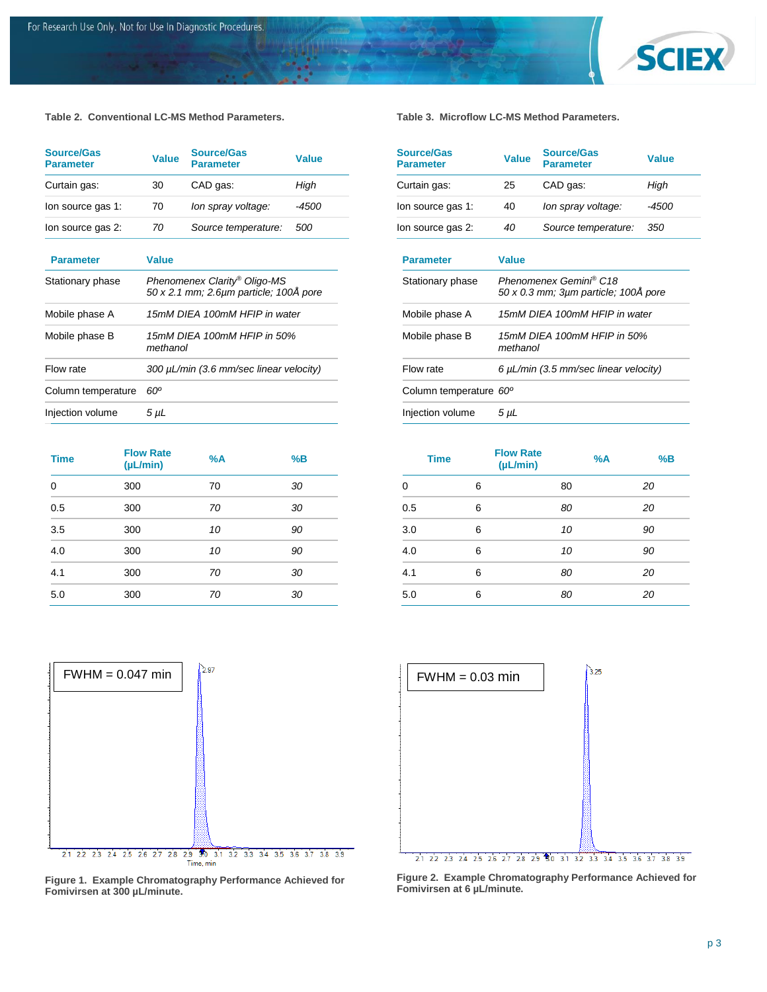

**Table 2. Conventional LC-MS Method Parameters.**

| <b>Source/Gas</b><br><b>Parameter</b> | <b>Value</b>                                                           | Source/Gas<br><b>Parameter</b> | <b>Value</b> |  |
|---------------------------------------|------------------------------------------------------------------------|--------------------------------|--------------|--|
| Curtain gas:                          | 30                                                                     | CAD gas:                       | High         |  |
| lon source gas 1:                     | 70                                                                     | lon spray voltage:             | -4500        |  |
| lon source gas 2:                     | 70                                                                     | Source temperature:            | <i>500</i>   |  |
| <b>Parameter</b>                      | <b>Value</b>                                                           |                                |              |  |
| Stationary phase                      | Phenomenex Clarity® Oligo-MS<br>50 x 2.1 mm; 2.6µm particle; 100Å pore |                                |              |  |
| Mobile phase A                        | 15mM DIEA 100mM HFIP in water                                          |                                |              |  |
| Mobile phase B                        | 15mM DIEA 100mM HFIP in 50%<br>methanol                                |                                |              |  |
| Flow rate                             | 300 µL/min (3.6 mm/sec linear velocity)                                |                                |              |  |
| Column temperature                    | 60°                                                                    |                                |              |  |
| Injection volume                      | 5 μL                                                                   |                                |              |  |

| <b>Time</b> | <b>Flow Rate</b><br>(µL/min) | %A | %B |
|-------------|------------------------------|----|----|
| 0           | 300                          | 70 | 30 |
| 0.5         | 300                          | 70 | 30 |
| 3.5         | 300                          | 10 | 90 |
| 4.0         | 300                          | 10 | 90 |
| 4.1         | 300                          | 70 | 30 |
| 5.0         | 300                          | 70 | 30 |



**Figure 1. Example Chromatography Performance Achieved for Fomivirsen at 300 µL/minute.**

**Table 3. Microflow LC-MS Method Parameters.**

| <b>Source/Gas</b><br><b>Parameter</b> | <b>Value</b>                                                   | <b>Source/Gas</b><br><b>Parameter</b> | Value |  |
|---------------------------------------|----------------------------------------------------------------|---------------------------------------|-------|--|
| Curtain gas:                          | 25                                                             | CAD gas:                              | High  |  |
| lon source gas 1:                     | 40                                                             | lon spray voltage:                    | -4500 |  |
| lon source gas 2:                     | 40                                                             | Source temperature:                   | 350   |  |
| <b>Parameter</b>                      | <b>Value</b>                                                   |                                       |       |  |
| Stationary phase                      | Phenomenex Gemini® C18<br>50 x 0.3 mm; 3um particle; 100A pore |                                       |       |  |
| Mobile phase A                        | 15mM DIEA 100mM HFIP in water                                  |                                       |       |  |
| Mobile phase B                        | 15mM DIEA 100mM HFIP in 50%<br>methanol                        |                                       |       |  |
| Flow rate                             | 6 $\mu$ L/min (3.5 mm/sec linear velocity)                     |                                       |       |  |
| Column temperature 60°                |                                                                |                                       |       |  |
| Injection volume                      | $5 \mu L$                                                      |                                       |       |  |

| <b>Time</b> | <b>Flow Rate</b><br>(µL/min) | %A | %B |
|-------------|------------------------------|----|----|
| 0           | 6                            | 80 | 20 |
| 0.5         | 6                            | 80 | 20 |
| 3.0         | 6                            | 10 | 90 |
| 4.0         | 6                            | 10 | 90 |
| 4.1         | 6                            | 80 | 20 |
| 5.0         | 6                            | 80 | 20 |



**Figure 2. Example Chromatography Performance Achieved for Fomivirsen at 6 µL/minute.**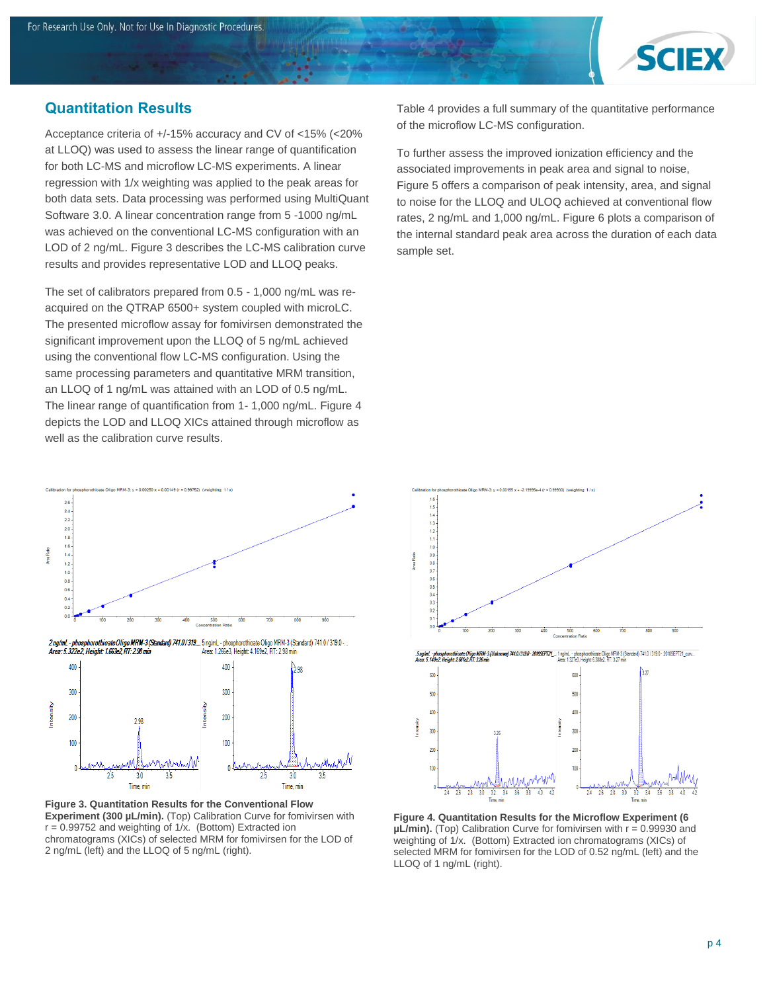

#### **Quantitation Results**

Acceptance criteria of +/-15% accuracy and CV of <15% (<20% at LLOQ) was used to assess the linear range of quantification for both LC-MS and microflow LC-MS experiments. A linear regression with 1/x weighting was applied to the peak areas for both data sets. Data processing was performed using MultiQuant Software 3.0. A linear concentration range from 5 -1000 ng/mL was achieved on the conventional LC-MS configuration with an LOD of 2 ng/mL. Figure 3 describes the LC-MS calibration curve results and provides representative LOD and LLOQ peaks.

The set of calibrators prepared from 0.5 - 1,000 ng/mL was reacquired on the QTRAP 6500+ system coupled with microLC. The presented microflow assay for fomivirsen demonstrated the significant improvement upon the LLOQ of 5 ng/mL achieved using the conventional flow LC-MS configuration. Using the same processing parameters and quantitative MRM transition, an LLOQ of 1 ng/mL was attained with an LOD of 0.5 ng/mL. The linear range of quantification from 1- 1,000 ng/mL. Figure 4 depicts the LOD and LLOQ XICs attained through microflow as well as the calibration curve results.



...<br>2. Area: 5.322e2, Height: 1.653e2, RT: 2.98 min 4.10.1319... 5. ng/mL - phosphorothioate Oligo MRM-3 (Standard) 741.0 / 319.0<br>4. Area: 1.639e2, Reight: 1.653e2, RT: 2.98 min



**Figure 3. Quantitation Results for the Conventional Flow Experiment (300 µL/min).** (Top) Calibration Curve for fomivirsen with  $r = 0.99752$  and weighting of  $1/x$ . (Bottom) Extracted ion chromatograms (XICs) of selected MRM for fomivirsen for the LOD of 2 ng/mL (left) and the LLOQ of 5 ng/mL (right).

Table 4 provides a full summary of the quantitative performance of the microflow LC-MS configuration.

To further assess the improved ionization efficiency and the associated improvements in peak area and signal to noise, Figure 5 offers a comparison of peak intensity, area, and signal to noise for the LLOQ and ULOQ achieved at conventional flow rates, 2 ng/mL and 1,000 ng/mL. Figure 6 plots a comparison of the internal standard peak area across the duration of each data sample set.





**Figure 4. Quantitation Results for the Microflow Experiment (6 µL/min).** (Top) Calibration Curve for fomivirsen with r = 0.99930 and weighting of 1/x. (Bottom) Extracted ion chromatograms (XICs) of selected MRM for fomivirsen for the LOD of 0.52 ng/mL (left) and the LLOQ of 1 ng/mL (right).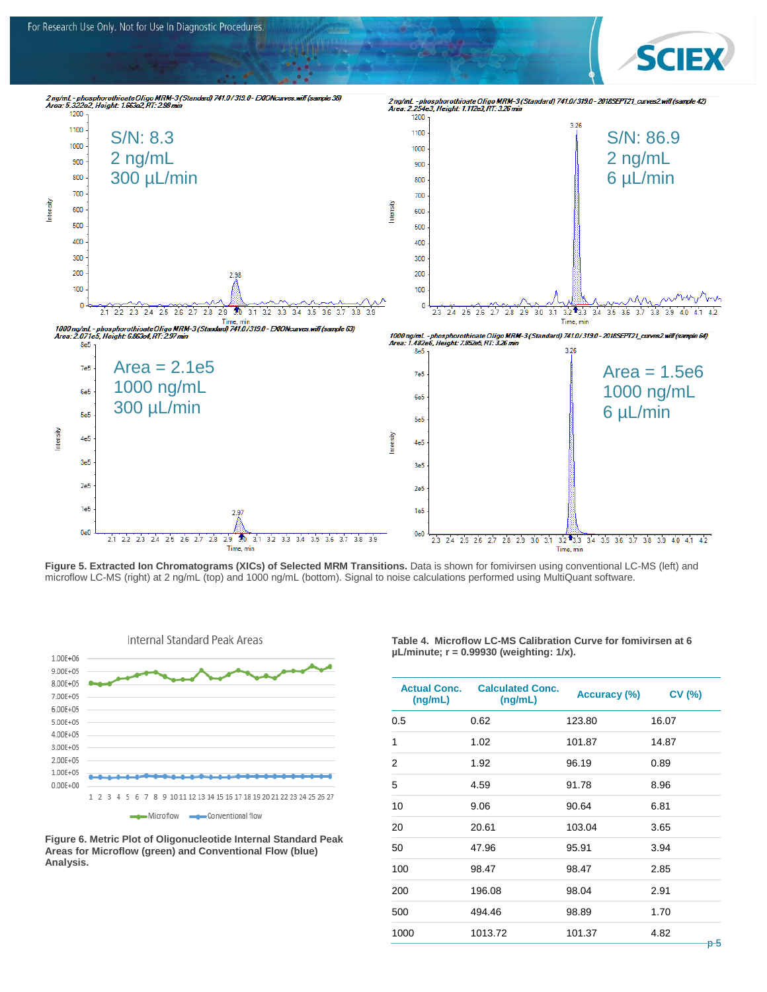

**Figure 5. Extracted Ion Chromatograms (XICs) of Selected MRM Transitions.** Data is shown for fomivirsen using conventional LC-MS (left) and microflow LC-MS (right) at 2 ng/mL (top) and 1000 ng/mL (bottom). Signal to noise calculations performed using MultiQuant software.



**Figure 6. Metric Plot of Oligonucleotide Internal Standard Peak Areas for Microflow (green) and Conventional Flow (blue) Analysis.**

**Table 4. Microflow LC-MS Calibration Curve for fomivirsen at 6 µL/minute; r = 0.99930 (weighting: 1/x).**

| <b>Actual Conc.</b><br>(ng/mL) | <b>Calculated Conc.</b><br>(ng/mL) | Accuracy (%) | <b>CV (%)</b> |
|--------------------------------|------------------------------------|--------------|---------------|
| 0.5                            | 0.62                               | 123.80       | 16.07         |
| 1                              | 1.02                               | 101.87       | 14.87         |
| 2                              | 1.92                               | 96.19        | 0.89          |
| 5                              | 4.59                               | 91.78        | 8.96          |
| 10                             | 9.06                               | 90.64        | 6.81          |
| 20                             | 20.61                              | 103.04       | 3.65          |
| 50                             | 47.96                              | 95.91        | 3.94          |
| 100                            | 98.47                              | 98.47        | 2.85          |
| 200                            | 196.08                             | 98.04        | 2.91          |
| 500                            | 494.46                             | 98.89        | 1.70          |
| 1000                           | 1013.72                            | 101.37       | 4.82<br>n F   |